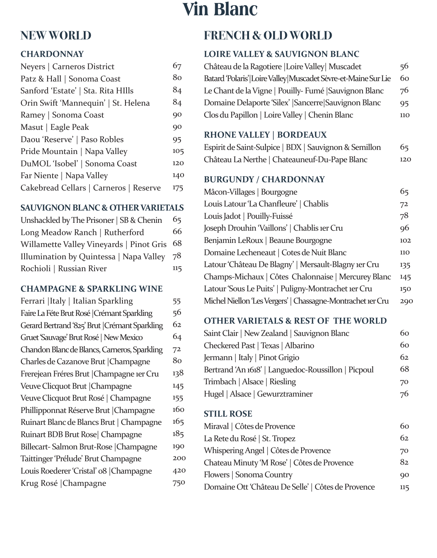# **NEW WORLD**

## **CHARDONNAY**

| Neyers   Carneros District             | 67  |
|----------------------------------------|-----|
| Patz & Hall   Sonoma Coast             | 80  |
| Sanford 'Estate'   Sta. Rita HIlls     | 84  |
| Orin Swift 'Mannequin'   St. Helena    | 84  |
| Ramey   Sonoma Coast                   | 90  |
| Masut   Eagle Peak                     | 90  |
| Daou 'Reserve'   Paso Robles           | 95  |
| Pride Mountain   Napa Valley           | 105 |
| DuMOL 'Isobel'   Sonoma Coast          | 120 |
| Far Niente   Napa Valley               | 140 |
| Cakebread Cellars   Carneros   Reserve | 175 |
|                                        |     |

## **SAUVIGNON BLANC & OTHER VARIETALS**

| Unshackled by The Prisoner   SB & Chenin | 65  |
|------------------------------------------|-----|
| Long Meadow Ranch   Rutherford           | 66  |
| Willamette Valley Vineyards   Pinot Gris | 68  |
| Illumination by Quintessa   Napa Valley  | 78  |
| Rochioli   Russian River                 | 115 |

#### **CHAMPAGNE & SPARKLING WINE**

| Ferrari   Italy   Italian Sparkling            | 55  |
|------------------------------------------------|-----|
| Faire La Féte Brut Rosé   Crémant Sparkling    | 56  |
| Gerard Bertrand '825' Brut   Crémant Sparkling | 62  |
| Gruet 'Sauvage' Brut Rosé   New Mexico         | 64  |
| Chandon Blanc de Blancs, Carneros, Sparkling   | 72  |
| Charles de Cazanove Brut   Champagne           | 80  |
| Frerejean Fréres Brut   Champagne 1er Cru      | 138 |
| Veuve Clicquot Brut   Champagne                | 145 |
| Veuve Clicquot Brut Rosé   Champagne           | 155 |
| Phillipponnat Réserve Brut   Champagne         | 160 |
| Ruinart Blanc de Blancs Brut   Champagne       | 165 |
| Ruinart BDB Brut Rose   Champagne              | 185 |
| Billecart-Salmon Brut-Rose   Champagne         | 190 |
| Taittinger 'Prélude' Brut Champagne            | 200 |
| Louis Roederer 'Cristal' o8   Champagne        | 420 |
| Krug Rosé   Champagne                          | 750 |
|                                                |     |

# **Vin Blanc**

# **FRENCH & OLD WORLD**

# **LOIRE VALLEY & SAUVIGNON BLANC**

| Château de la Ragotiere  Loire Valley  Muscadet               | 56  |
|---------------------------------------------------------------|-----|
| Batard 'Polaris' Loire Valley Muscadet Sèvre-et-Maine Sur Lie | 60  |
| Le Chant de la Vigne   Pouilly-Fumé   Sauvignon Blanc         | 76  |
| Domaine Delaporte 'Silex'   Sancerre   Sauvignon Blanc        | 95  |
| Clos du Papillon   Loire Valley   Chenin Blanc                | 110 |

# **RHONE VALLEY | BORDEAUX**

| Espirit de Saint-Sulpice   BDX   Sauvignon & Semillon | 65  |
|-------------------------------------------------------|-----|
| Château La Nerthe   Chateauneuf-Du-Pape Blanc         | 120 |

# **BURGUNDY / CHARDONNAY**

| Mâcon-Villages   Bourgogne                                  | 65         |
|-------------------------------------------------------------|------------|
| Louis Latour 'La Chanfleure'   Chablis                      | 72         |
| Louis Jadot   Pouilly-Fuissé                                | 78         |
| Joseph Drouhin 'Vaillons'   Chablis 1er Cru                 | 96         |
| Benjamin LeRoux   Beaune Bourgogne                          | 102        |
| Domaine Lecheneaut   Cotes de Nuit Blanc                    | <b>110</b> |
| Latour 'Château De Blagny'   Mersault-Blagny 1er Cru        | 135        |
| Champs-Michaux   Côtes Chalonnaise   Mercurey Blanc         | 145        |
| Latour 'Sous Le Puits'   Puligny-Montrachet 1er Cru         | 150        |
| Michel Niellon 'Les Vergers'   Chassagne-Montrachet 1er Cru | 290        |
|                                                             |            |

## **OTHER VARIETALS & REST OF THE WORLD**

| Saint Clair   New Zealand   Sauvignon Blanc         | 60. |
|-----------------------------------------------------|-----|
| Checkered Past   Texas   Albarino                   | 60  |
| Jermann   Italy   Pinot Grigio                      | 62  |
| Bertrand 'An 1618'   Languedoc-Roussillon   Picpoul | 68  |
| Trimbach   Alsace   Riesling                        | 70  |
| Hugel   Alsace   Gewurztraminer                     | 76. |

#### **STILL ROSE**

| Miraval   Côtes de Provence                        | რი             |
|----------------------------------------------------|----------------|
| La Rete du Rosé   St. Tropez                       | 62.            |
| Whispering Angel   Côtes de Provence               | 70             |
| Chateau Minuty 'M Rose'   Côtes de Provence        | 82             |
| Flowers   Sonoma Country                           | Q <sub>O</sub> |
| Domaine Ott 'Château De Selle'   Côtes de Provence | 115            |
|                                                    |                |